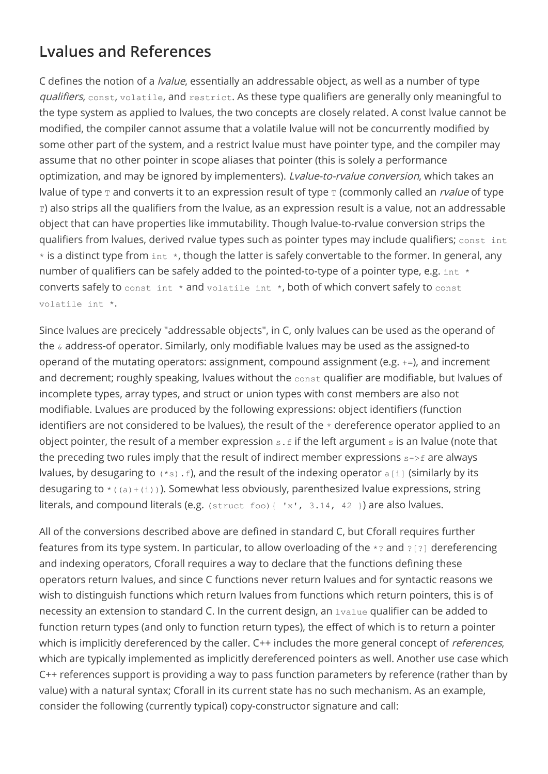## **Lvalues and References**

C defines the notion of a lvalue, essentially an addressable object, as well as a number of type qualifiers, const, volatile, and restrict. As these type qualifiers are generally only meaningful to the type system as applied to lvalues, the two concepts are closely related. A const lvalue cannot be modified, the compiler cannot assume that a volatile lvalue will not be concurrently modified by some other part of the system, and a restrict lvalue must have pointer type, and the compiler may assume that no other pointer in scope aliases that pointer (this is solely a performance optimization, and may be ignored by implementers). Lvalue-to-rvalue conversion, which takes an Ivalue of type  $\texttt{T}$  and converts it to an expression result of type  $\texttt{T}$  (commonly called an *rvalue* of type T) also strips all the qualifiers from the lvalue, as an expression result is a value, not an addressable object that can have properties like immutability. Though lvalue-to-rvalue conversion strips the qualifiers from lvalues, derived rvalue types such as pointer types may include qualifiers; const int  $*$  is a distinct type from  $int *$ , though the latter is safely convertable to the former. In general, any number of qualifiers can be safely added to the pointed-to-type of a pointer type, e.g.  $int *$ converts safely to const int \* and volatile int \*, both of which convert safely to const volatile int \*.

Since lvalues are precicely "addressable objects", in C, only lvalues can be used as the operand of the & address-of operator. Similarly, only modifiable lvalues may be used as the assigned-to operand of the mutating operators: assignment, compound assignment (e.g. +=), and increment and decrement; roughly speaking, lvalues without the const qualifier are modifiable, but lvalues of incomplete types, array types, and struct or union types with const members are also not modifiable. Lvalues are produced by the following expressions: object identifiers (function identifiers are not considered to be lvalues), the result of the  $*$  dereference operator applied to an object pointer, the result of a member expression  $s.f$  if the left argument  $s$  is an lvalue (note that the preceding two rules imply that the result of indirect member expressions  $s\rightarrow f$  are always Ivalues, by desugaring to  $(*s)$ . f), and the result of the indexing operator  $a[i]$  (similarly by its desugaring to  $*(a) + (i)$ ). Somewhat less obviously, parenthesized lvalue expressions, string literals, and compound literals (e.g.  $(sstruct\ foot)$   $\{ 'x', 3.14, 42 \}$ ) are also lvalues.

All of the conversions described above are defined in standard C, but Cforall requires further features from its type system. In particular, to allow overloading of the \*? and ?[?] dereferencing and indexing operators, Cforall requires a way to declare that the functions defining these operators return lvalues, and since C functions never return lvalues and for syntactic reasons we wish to distinguish functions which return lvalues from functions which return pointers, this is of necessity an extension to standard C. In the current design, an lvalue qualifier can be added to function return types (and only to function return types), the effect of which is to return a pointer which is implicitly dereferenced by the caller. C++ includes the more general concept of *references*, which are typically implemented as implicitly dereferenced pointers as well. Another use case which C++ references support is providing a way to pass function parameters by reference (rather than by value) with a natural syntax; Cforall in its current state has no such mechanism. As an example, consider the following (currently typical) copy-constructor signature and call: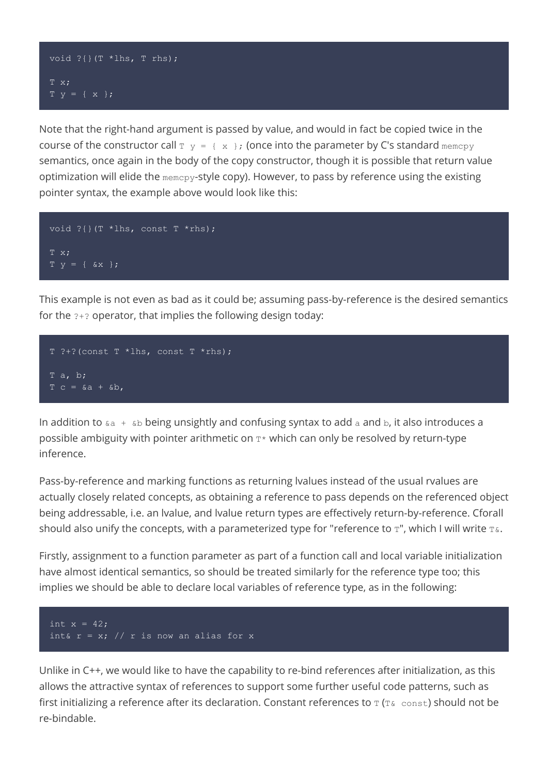## void ?{}(T \*lhs, T rhs);  $T \times$ ; T y = { x };

Note that the right-hand argument is passed by value, and would in fact be copied twice in the course of the constructor call  $T y = \{x\}$ ; (once into the parameter by C's standard memcpy semantics, once again in the body of the copy constructor, though it is possible that return value optimization will elide the memcpy-style copy). However, to pass by reference using the existing pointer syntax, the example above would look like this:

```
void ? { } (T *lhs, const T *rhs);
T x;
T y = \{ \&x \};
```
This example is not even as bad as it could be; assuming pass-by-reference is the desired semantics for the ?+? operator, that implies the following design today:

```
T ?+? (const T *lhs, const T *rhs);
T a, b;
T c = \&a + \&b,
```
In addition to  $\epsilon$  a +  $\epsilon$ b being unsightly and confusing syntax to add a and b, it also introduces a possible ambiguity with pointer arithmetic on  $T^*$  which can only be resolved by return-type inference.

Pass-by-reference and marking functions as returning lvalues instead of the usual rvalues are actually closely related concepts, as obtaining a reference to pass depends on the referenced object being addressable, i.e. an lvalue, and lvalue return types are effectively return-by-reference. Cforall should also unify the concepts, with a parameterized type for "reference to  $T$ ", which I will write  $T\&$ .

Firstly, assignment to a function parameter as part of a function call and local variable initialization have almost identical semantics, so should be treated similarly for the reference type too; this implies we should be able to declare local variables of reference type, as in the following:



Unlike in C++, we would like to have the capability to re-bind references after initialization, as this allows the attractive syntax of references to support some further useful code patterns, such as first initializing a reference after its declaration. Constant references to  $T$  ( $T\&$  const) should not be re-bindable.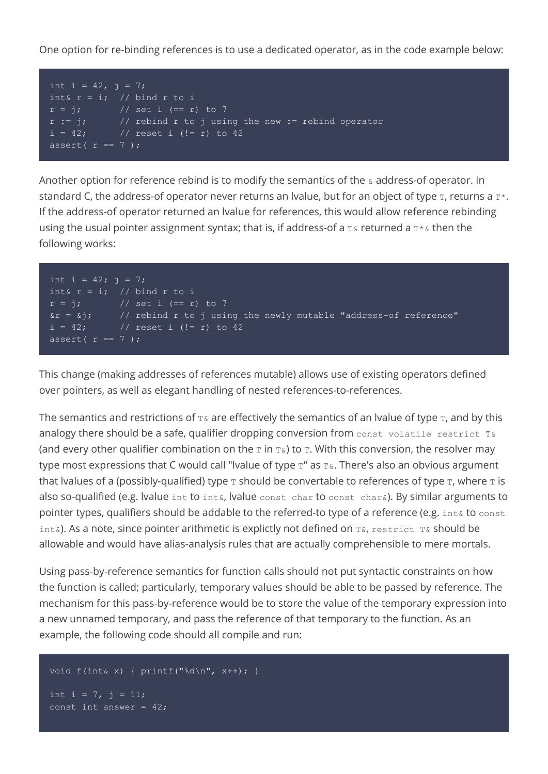One option for re-binding references is to use a dedicated operator, as in the code example below:

```
int i = 42, j = 7;
int& r = i; // bind r to i
r = j; // set i (== r) to 7
             // rebind r to j using the new := rebind operator
r := j; // rebind r to j using t<br>i = 42; // reset i (!= r) to 42
assert(r == 7);
```
Another option for reference rebind is to modify the semantics of the  $\alpha$  address-of operator. In standard C, the address-of operator never returns an Ivalue, but for an object of type  $T$ , returns a  $T^*$ . If the address-of operator returned an lvalue for references, this would allow reference rebinding using the usual pointer assignment syntax; that is, if address-of a  $T\&$  returned a  $T*\&$  then the following works:

```
int i = 42; j = 7;int& r = i; // bind r to i<br>
r = j; // set i (== r
              \sqrt{15} set i (== r) to 7
\delta r = \delta j; // rebind r to j using the newly mutable "address-of reference"
i = 42; // reset i (!= r) to 42
assert(r == 7);
```
This change (making addresses of references mutable) allows use of existing operators defined over pointers, as well as elegant handling of nested references-to-references.

The semantics and restrictions of  $T\alpha$  are effectively the semantics of an Ivalue of type  $T$ , and by this analogy there should be a safe, qualifier dropping conversion from const volatile restrict T& (and every other qualifier combination on the  $\text{I}$  in  $\text{I}$ &) to  $\text{I}$ . With this conversion, the resolver may type most expressions that C would call "lvalue of type  $T$ " as  $T\&$ . There's also an obvious argument that lvalues of a (possibly-qualified) type  $\tau$  should be convertable to references of type  $\tau$ , where  $\tau$  is also so-qualified (e.g. Ivalue int to int&, Ivalue const char to const char $\⊂>6$ ). By similar arguments to pointer types, qualifiers should be addable to the referred-to type of a reference (e.g. int& to const int&). As a note, since pointer arithmetic is explictly not defined on  $T_{\&}$ , restrict  $T_{\&}$  should be allowable and would have alias-analysis rules that are actually comprehensible to mere mortals.

Using pass-by-reference semantics for function calls should not put syntactic constraints on how the function is called; particularly, temporary values should be able to be passed by reference. The mechanism for this pass-by-reference would be to store the value of the temporary expression into a new unnamed temporary, and pass the reference of that temporary to the function. As an example, the following code should all compile and run:

```
void f(int& x) { printf("d\nu", x++); }
```

```
int i = 7, j = 11;
const int answer = 42;
```